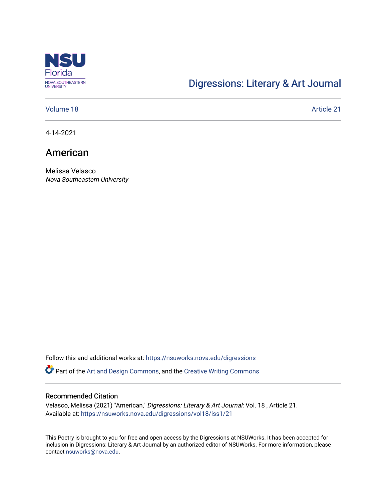

## [Digressions: Literary & Art Journal](https://nsuworks.nova.edu/digressions)

### [Volume 18](https://nsuworks.nova.edu/digressions/vol18) Article 21

4-14-2021

### American

Melissa Velasco Nova Southeastern University

Follow this and additional works at: [https://nsuworks.nova.edu/digressions](https://nsuworks.nova.edu/digressions?utm_source=nsuworks.nova.edu%2Fdigressions%2Fvol18%2Fiss1%2F21&utm_medium=PDF&utm_campaign=PDFCoverPages) 

Part of the [Art and Design Commons](http://network.bepress.com/hgg/discipline/1049?utm_source=nsuworks.nova.edu%2Fdigressions%2Fvol18%2Fiss1%2F21&utm_medium=PDF&utm_campaign=PDFCoverPages), and the [Creative Writing Commons](http://network.bepress.com/hgg/discipline/574?utm_source=nsuworks.nova.edu%2Fdigressions%2Fvol18%2Fiss1%2F21&utm_medium=PDF&utm_campaign=PDFCoverPages)

#### Recommended Citation

Velasco, Melissa (2021) "American," Digressions: Literary & Art Journal: Vol. 18 , Article 21. Available at: [https://nsuworks.nova.edu/digressions/vol18/iss1/21](https://nsuworks.nova.edu/digressions/vol18/iss1/21?utm_source=nsuworks.nova.edu%2Fdigressions%2Fvol18%2Fiss1%2F21&utm_medium=PDF&utm_campaign=PDFCoverPages)

This Poetry is brought to you for free and open access by the Digressions at NSUWorks. It has been accepted for inclusion in Digressions: Literary & Art Journal by an authorized editor of NSUWorks. For more information, please contact [nsuworks@nova.edu.](mailto:nsuworks@nova.edu)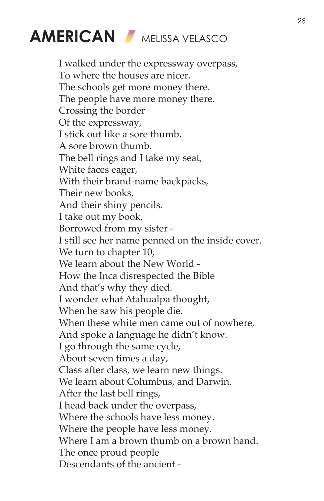# **AMERICAN** MELISSA VELASCO

I walked under the expressway overpass, To where the houses are nicer. The schools get more money there. The people have more money there. Crossing the border Of the expressway, I stick out like a sore thumb. A sore brown thumb. The bell rings and I take my seat, White faces eager, With their brand-name backpacks, Their new books, And their shiny pencils. I take out my book, Borrowed from my sister - I still see her name penned on the inside cover. We turn to chapter 10, We learn about the New World - How the Inca disrespected the Bible And that's why they died. I wonder what Atahualpa thought, When he saw his people die. When these white men came out of nowhere, And spoke a language he didn't know. I go through the same cycle, About seven times a day, Class after class, we learn new things. We learn about Columbus, and Darwin. After the last bell rings, I head back under the overpass, Where the schools have less money. Where the people have less money. Where I am a brown thumb on a brown hand. The once proud people Descendants of the ancient -